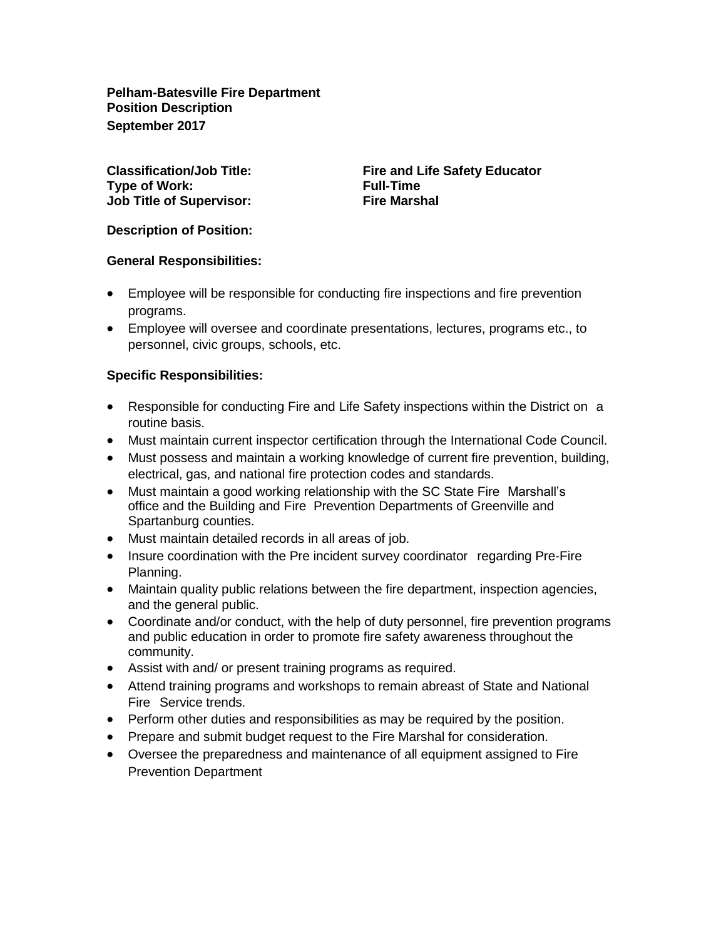**Pelham-Batesville Fire Department Position Description September 2017**

**Type of Work: Full-Time Job Title of Supervisor: Fire Marshal**

**Classification/Job Title: Fire and Life Safety Educator**

**Description of Position:**

## **General Responsibilities:**

- Employee will be responsible for conducting fire inspections and fire prevention programs.
- Employee will oversee and coordinate presentations, lectures, programs etc., to personnel, civic groups, schools, etc.

## **Specific Responsibilities:**

- Responsible for conducting Fire and Life Safety inspections within the District on a routine basis.
- Must maintain current inspector certification through the International Code Council.
- Must possess and maintain a working knowledge of current fire prevention, building, electrical, gas, and national fire protection codes and standards.
- Must maintain a good working relationship with the SC State Fire Marshall's office and the Building and Fire Prevention Departments of Greenville and Spartanburg counties.
- Must maintain detailed records in all areas of job.
- Insure coordination with the Pre incident survey coordinator regarding Pre-Fire Planning.
- Maintain quality public relations between the fire department, inspection agencies, and the general public.
- Coordinate and/or conduct, with the help of duty personnel, fire prevention programs and public education in order to promote fire safety awareness throughout the community.
- Assist with and/ or present training programs as required.
- Attend training programs and workshops to remain abreast of State and National Fire Service trends.
- Perform other duties and responsibilities as may be required by the position.
- Prepare and submit budget request to the Fire Marshal for consideration.
- Oversee the preparedness and maintenance of all equipment assigned to Fire Prevention Department